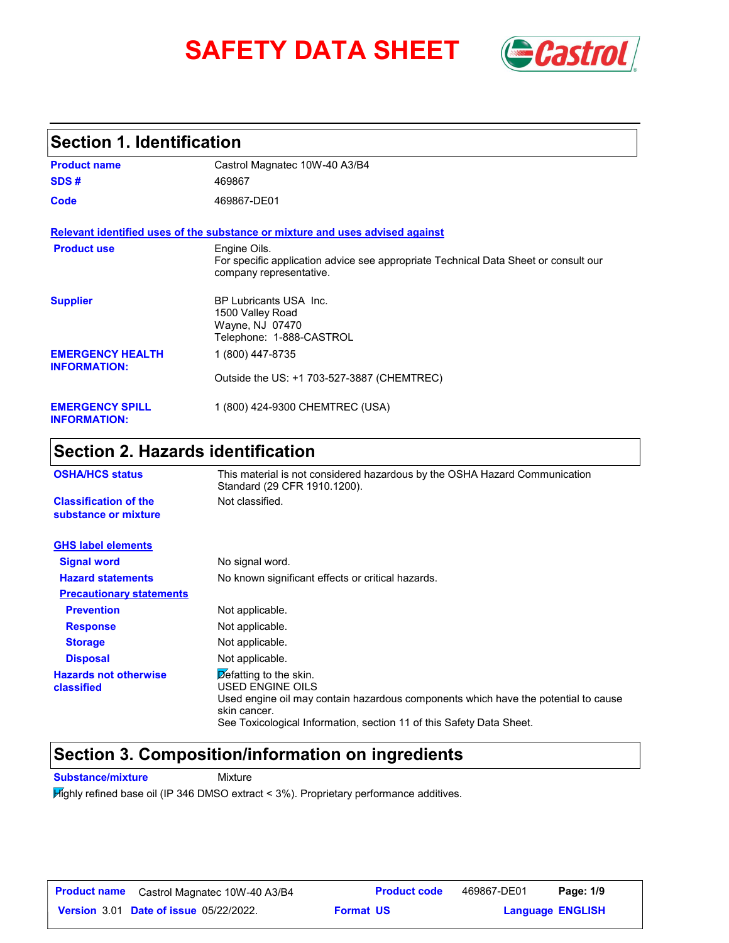# **SAFETY DATA SHEET** *Castrol*



## **Section 1. Identification**

| <b>Product name</b>                            | Castrol Magnatec 10W-40 A3/B4                                                                                                  |
|------------------------------------------------|--------------------------------------------------------------------------------------------------------------------------------|
| SDS#                                           | 469867                                                                                                                         |
| Code                                           | 469867-DE01                                                                                                                    |
|                                                | Relevant identified uses of the substance or mixture and uses advised against                                                  |
| <b>Product use</b>                             | Engine Oils.<br>For specific application advice see appropriate Technical Data Sheet or consult our<br>company representative. |
| <b>Supplier</b>                                | <b>BP Lubricants USA Inc.</b><br>1500 Valley Road<br>Wayne, NJ 07470<br>Telephone: 1-888-CASTROL                               |
| <b>EMERGENCY HEALTH</b><br><b>INFORMATION:</b> | 1 (800) 447-8735                                                                                                               |
|                                                | Outside the US: +1 703-527-3887 (CHEMTREC)                                                                                     |
| <b>EMERGENCY SPILL</b><br><b>INFORMATION:</b>  | 1 (800) 424-9300 CHEMTREC (USA)                                                                                                |

## **Section 2. Hazards identification**

| <b>OSHA/HCS status</b>                               | This material is not considered hazardous by the OSHA Hazard Communication<br>Standard (29 CFR 1910.1200).                                                                                                                                       |  |
|------------------------------------------------------|--------------------------------------------------------------------------------------------------------------------------------------------------------------------------------------------------------------------------------------------------|--|
| <b>Classification of the</b><br>substance or mixture | Not classified.                                                                                                                                                                                                                                  |  |
| <b>GHS label elements</b>                            |                                                                                                                                                                                                                                                  |  |
| <b>Signal word</b>                                   | No signal word.                                                                                                                                                                                                                                  |  |
| <b>Hazard statements</b>                             | No known significant effects or critical hazards.                                                                                                                                                                                                |  |
| <b>Precautionary statements</b>                      |                                                                                                                                                                                                                                                  |  |
| <b>Prevention</b>                                    | Not applicable.                                                                                                                                                                                                                                  |  |
| <b>Response</b>                                      | Not applicable.                                                                                                                                                                                                                                  |  |
| <b>Storage</b>                                       | Not applicable.                                                                                                                                                                                                                                  |  |
| <b>Disposal</b>                                      | Not applicable.                                                                                                                                                                                                                                  |  |
| <b>Hazards not otherwise</b><br>classified           | $\overline{\mathcal{D}}$ efatting to the skin.<br>USED ENGINE OILS<br>Used engine oil may contain hazardous components which have the potential to cause<br>skin cancer.<br>See Toxicological Information, section 11 of this Safety Data Sheet. |  |

## **Section 3. Composition/information on ingredients**

**Substance/mixture Mixture** 

Highly refined base oil (IP 346 DMSO extract < 3%). Proprietary performance additives.

| <b>Product name</b> | Castrol Magnatec 10W-40 A3/B4                 |                  | <b>Product code</b> | 469867-DE01             | Page: 1/9 |  |
|---------------------|-----------------------------------------------|------------------|---------------------|-------------------------|-----------|--|
|                     | <b>Version 3.01 Date of issue 05/22/2022.</b> | <b>Format US</b> |                     | <b>Language ENGLISH</b> |           |  |

**Product code**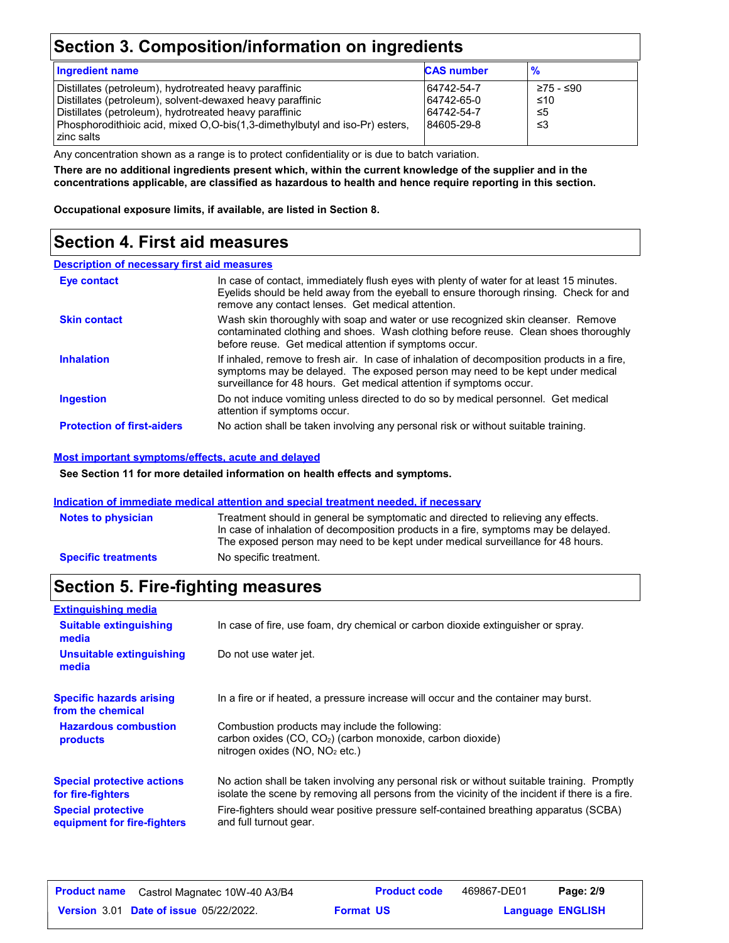## **Section 3. Composition/information on ingredients**

| <b>Ingredient name</b>                                                      | <b>CAS number</b> | $\frac{9}{6}$ |
|-----------------------------------------------------------------------------|-------------------|---------------|
| Distillates (petroleum), hydrotreated heavy paraffinic                      | 64742-54-7        | ≥75 - ≤90     |
| Distillates (petroleum), solvent-dewaxed heavy paraffinic                   | 64742-65-0        | ≤10           |
| Distillates (petroleum), hydrotreated heavy paraffinic                      | 64742-54-7        | -≤5           |
| Phosphorodithioic acid, mixed O,O-bis(1,3-dimethylbutyl and iso-Pr) esters, | 84605-29-8        | ו≥ ≤          |
| zinc salts                                                                  |                   |               |

Any concentration shown as a range is to protect confidentiality or is due to batch variation.

**There are no additional ingredients present which, within the current knowledge of the supplier and in the concentrations applicable, are classified as hazardous to health and hence require reporting in this section.**

**Occupational exposure limits, if available, are listed in Section 8.**

## **Section 4. First aid measures**

#### **Description of necessary first aid measures**

| Eye contact                       | In case of contact, immediately flush eyes with plenty of water for at least 15 minutes.<br>Eyelids should be held away from the eyeball to ensure thorough rinsing. Check for and<br>remove any contact lenses. Get medical attention.             |
|-----------------------------------|-----------------------------------------------------------------------------------------------------------------------------------------------------------------------------------------------------------------------------------------------------|
| <b>Skin contact</b>               | Wash skin thoroughly with soap and water or use recognized skin cleanser. Remove<br>contaminated clothing and shoes. Wash clothing before reuse. Clean shoes thoroughly<br>before reuse. Get medical attention if symptoms occur.                   |
| <b>Inhalation</b>                 | If inhaled, remove to fresh air. In case of inhalation of decomposition products in a fire,<br>symptoms may be delayed. The exposed person may need to be kept under medical<br>surveillance for 48 hours. Get medical attention if symptoms occur. |
| <b>Ingestion</b>                  | Do not induce vomiting unless directed to do so by medical personnel. Get medical<br>attention if symptoms occur.                                                                                                                                   |
| <b>Protection of first-aiders</b> | No action shall be taken involving any personal risk or without suitable training.                                                                                                                                                                  |

#### **Most important symptoms/effects, acute and delayed**

**See Section 11 for more detailed information on health effects and symptoms.**

#### **Indication of immediate medical attention and special treatment needed, if necessary**

| <b>Notes to physician</b>  | Treatment should in general be symptomatic and directed to relieving any effects.<br>In case of inhalation of decomposition products in a fire, symptoms may be delayed.<br>The exposed person may need to be kept under medical surveillance for 48 hours. |
|----------------------------|-------------------------------------------------------------------------------------------------------------------------------------------------------------------------------------------------------------------------------------------------------------|
| <b>Specific treatments</b> | No specific treatment.                                                                                                                                                                                                                                      |

## **Section 5. Fire-fighting measures**

| <b>Extinguishing media</b>                               |                                                                                                                                                                                                |
|----------------------------------------------------------|------------------------------------------------------------------------------------------------------------------------------------------------------------------------------------------------|
| <b>Suitable extinguishing</b><br>media                   | In case of fire, use foam, dry chemical or carbon dioxide extinguisher or spray.                                                                                                               |
| Unsuitable extinguishing<br>media                        | Do not use water jet.                                                                                                                                                                          |
| <b>Specific hazards arising</b><br>from the chemical     | In a fire or if heated, a pressure increase will occur and the container may burst.                                                                                                            |
| <b>Hazardous combustion</b><br>products                  | Combustion products may include the following:<br>carbon oxides (CO, CO <sub>2</sub> ) (carbon monoxide, carbon dioxide)<br>nitrogen oxides ( $NO$ , $NO2$ etc.)                               |
| <b>Special protective actions</b><br>for fire-fighters   | No action shall be taken involving any personal risk or without suitable training. Promptly<br>isolate the scene by removing all persons from the vicinity of the incident if there is a fire. |
| <b>Special protective</b><br>equipment for fire-fighters | Fire-fighters should wear positive pressure self-contained breathing apparatus (SCBA)<br>and full turnout gear.                                                                                |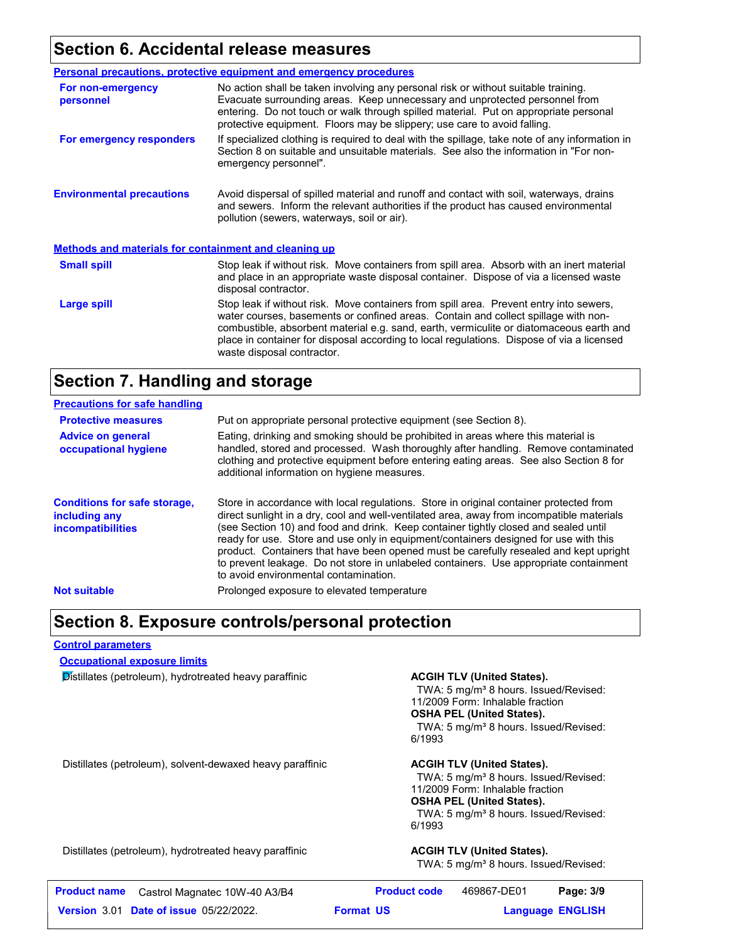## **Section 6. Accidental release measures**

|                                                              | <b>Personal precautions, protective equipment and emergency procedures</b>                                                                                                                                                                                                                                                                                                                         |  |  |
|--------------------------------------------------------------|----------------------------------------------------------------------------------------------------------------------------------------------------------------------------------------------------------------------------------------------------------------------------------------------------------------------------------------------------------------------------------------------------|--|--|
| For non-emergency<br>personnel                               | No action shall be taken involving any personal risk or without suitable training.<br>Evacuate surrounding areas. Keep unnecessary and unprotected personnel from<br>entering. Do not touch or walk through spilled material. Put on appropriate personal<br>protective equipment. Floors may be slippery; use care to avoid falling.                                                              |  |  |
| For emergency responders                                     | If specialized clothing is required to deal with the spillage, take note of any information in<br>Section 8 on suitable and unsuitable materials. See also the information in "For non-<br>emergency personnel".                                                                                                                                                                                   |  |  |
| <b>Environmental precautions</b>                             | Avoid dispersal of spilled material and runoff and contact with soil, waterways, drains<br>and sewers. Inform the relevant authorities if the product has caused environmental<br>pollution (sewers, waterways, soil or air).                                                                                                                                                                      |  |  |
| <b>Methods and materials for containment and cleaning up</b> |                                                                                                                                                                                                                                                                                                                                                                                                    |  |  |
| <b>Small spill</b>                                           | Stop leak if without risk. Move containers from spill area. Absorb with an inert material<br>and place in an appropriate waste disposal container. Dispose of via a licensed waste<br>disposal contractor.                                                                                                                                                                                         |  |  |
| Large spill                                                  | Stop leak if without risk. Move containers from spill area. Prevent entry into sewers,<br>water courses, basements or confined areas. Contain and collect spillage with non-<br>combustible, absorbent material e.g. sand, earth, vermiculite or diatomaceous earth and<br>place in container for disposal according to local regulations. Dispose of via a licensed<br>waste disposal contractor. |  |  |

## **Section 7. Handling and storage**

| <b>Precautions for safe handling</b>                                             |                                                                                                                                                                                                                                                                                                                                                                                                                                                                                                                                                                                               |
|----------------------------------------------------------------------------------|-----------------------------------------------------------------------------------------------------------------------------------------------------------------------------------------------------------------------------------------------------------------------------------------------------------------------------------------------------------------------------------------------------------------------------------------------------------------------------------------------------------------------------------------------------------------------------------------------|
| <b>Protective measures</b>                                                       | Put on appropriate personal protective equipment (see Section 8).                                                                                                                                                                                                                                                                                                                                                                                                                                                                                                                             |
| <b>Advice on general</b><br>occupational hygiene                                 | Eating, drinking and smoking should be prohibited in areas where this material is<br>handled, stored and processed. Wash thoroughly after handling. Remove contaminated<br>clothing and protective equipment before entering eating areas. See also Section 8 for<br>additional information on hygiene measures.                                                                                                                                                                                                                                                                              |
| <b>Conditions for safe storage,</b><br>including any<br><i>incompatibilities</i> | Store in accordance with local regulations. Store in original container protected from<br>direct sunlight in a dry, cool and well-ventilated area, away from incompatible materials<br>(see Section 10) and food and drink. Keep container tightly closed and sealed until<br>ready for use. Store and use only in equipment/containers designed for use with this<br>product. Containers that have been opened must be carefully resealed and kept upright<br>to prevent leakage. Do not store in unlabeled containers. Use appropriate containment<br>to avoid environmental contamination. |
| <b>Not suitable</b>                                                              | Prolonged exposure to elevated temperature                                                                                                                                                                                                                                                                                                                                                                                                                                                                                                                                                    |

## **Section 8. Exposure controls/personal protection**

#### **Control parameters**

**Occupational exposure limits**

**Distillates (petroleum), hydrotreated heavy paraffinic <b>ACGIH TLV (United States).** 

TWA: 5 mg/m<sup>3</sup> 8 hours. Issued/Revised: 11/2009 Form: Inhalable fraction **OSHA PEL (United States).** TWA: 5 mg/m<sup>3</sup> 8 hours. Issued/Revised: 6/1993

Distillates (petroleum), solvent-dewaxed heavy paraffinic **ACGIH TLV (United States).** 

TWA: 5 mg/m<sup>3</sup> 8 hours. Issued/Revised: 11/2009 Form: Inhalable fraction **OSHA PEL (United States).** TWA: 5 mg/m<sup>3</sup> 8 hours. Issued/Revised: 6/1993

Distillates (petroleum), hydrotreated heavy paraffinic **ACGIH TLV (United States).**

TWA: 5 mg/m<sup>3</sup> 8 hours. Issued/Revised:

| <b>Product name</b> | Castrol Magnatec 10W-40 A3/B4                 | <b>Product code</b> | 469867-DE01 | Page: 3/9               |
|---------------------|-----------------------------------------------|---------------------|-------------|-------------------------|
|                     | <b>Version 3.01 Date of issue 05/22/2022.</b> | <b>Format US</b>    |             | <b>Language ENGLISH</b> |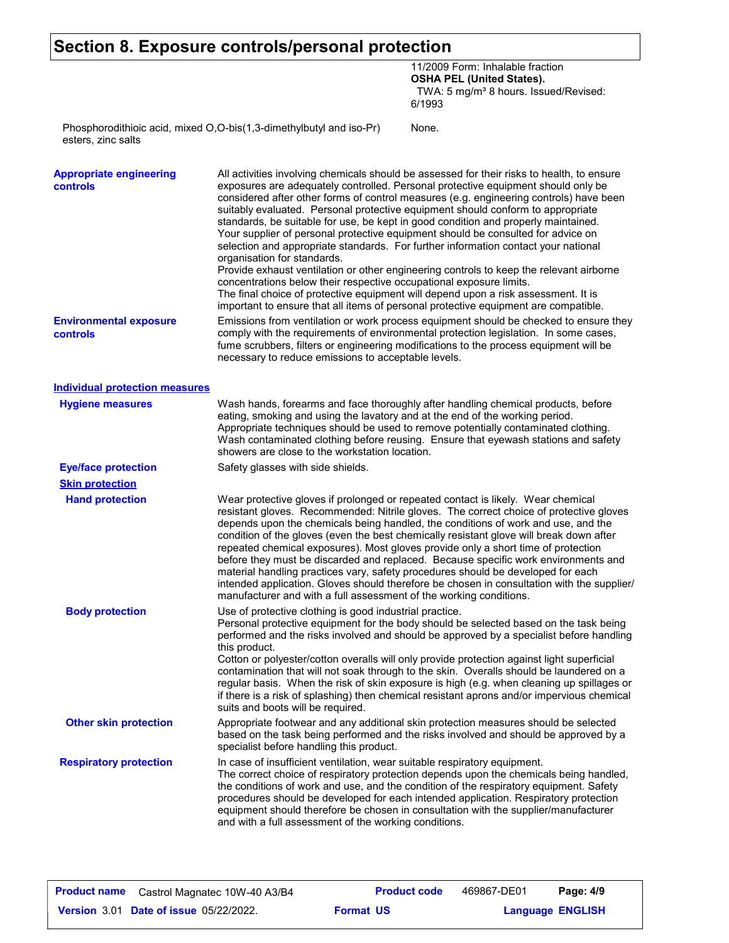## **Section 8. Exposure controls/personal protection**

11/2009 Form: Inhalable fraction **OSHA PEL (United States).** TWA: 5 mg/m<sup>3</sup> 8 hours. Issued/Revised: 6/1993

None.

Phosphorodithioic acid, mixed O,O-bis(1,3-dimethylbutyl and iso-Pr) esters, zinc salts

| <b>Appropriate engineering</b><br>controls | All activities involving chemicals should be assessed for their risks to health, to ensure<br>exposures are adequately controlled. Personal protective equipment should only be<br>considered after other forms of control measures (e.g. engineering controls) have been<br>suitably evaluated. Personal protective equipment should conform to appropriate<br>standards, be suitable for use, be kept in good condition and properly maintained.<br>Your supplier of personal protective equipment should be consulted for advice on<br>selection and appropriate standards. For further information contact your national<br>organisation for standards.<br>Provide exhaust ventilation or other engineering controls to keep the relevant airborne<br>concentrations below their respective occupational exposure limits.<br>The final choice of protective equipment will depend upon a risk assessment. It is<br>important to ensure that all items of personal protective equipment are compatible. |
|--------------------------------------------|------------------------------------------------------------------------------------------------------------------------------------------------------------------------------------------------------------------------------------------------------------------------------------------------------------------------------------------------------------------------------------------------------------------------------------------------------------------------------------------------------------------------------------------------------------------------------------------------------------------------------------------------------------------------------------------------------------------------------------------------------------------------------------------------------------------------------------------------------------------------------------------------------------------------------------------------------------------------------------------------------------|
| <b>Environmental exposure</b><br>controls  | Emissions from ventilation or work process equipment should be checked to ensure they<br>comply with the requirements of environmental protection legislation. In some cases,<br>fume scrubbers, filters or engineering modifications to the process equipment will be<br>necessary to reduce emissions to acceptable levels.                                                                                                                                                                                                                                                                                                                                                                                                                                                                                                                                                                                                                                                                              |
| <b>Individual protection measures</b>      |                                                                                                                                                                                                                                                                                                                                                                                                                                                                                                                                                                                                                                                                                                                                                                                                                                                                                                                                                                                                            |
| <b>Hygiene measures</b>                    | Wash hands, forearms and face thoroughly after handling chemical products, before<br>eating, smoking and using the lavatory and at the end of the working period.<br>Appropriate techniques should be used to remove potentially contaminated clothing.<br>Wash contaminated clothing before reusing. Ensure that eyewash stations and safety<br>showers are close to the workstation location.                                                                                                                                                                                                                                                                                                                                                                                                                                                                                                                                                                                                            |
| <b>Eye/face protection</b>                 | Safety glasses with side shields.                                                                                                                                                                                                                                                                                                                                                                                                                                                                                                                                                                                                                                                                                                                                                                                                                                                                                                                                                                          |
| <b>Skin protection</b>                     |                                                                                                                                                                                                                                                                                                                                                                                                                                                                                                                                                                                                                                                                                                                                                                                                                                                                                                                                                                                                            |
| <b>Hand protection</b>                     | Wear protective gloves if prolonged or repeated contact is likely. Wear chemical<br>resistant gloves. Recommended: Nitrile gloves. The correct choice of protective gloves<br>depends upon the chemicals being handled, the conditions of work and use, and the<br>condition of the gloves (even the best chemically resistant glove will break down after<br>repeated chemical exposures). Most gloves provide only a short time of protection<br>before they must be discarded and replaced. Because specific work environments and<br>material handling practices vary, safety procedures should be developed for each<br>intended application. Gloves should therefore be chosen in consultation with the supplier/<br>manufacturer and with a full assessment of the working conditions.                                                                                                                                                                                                              |
| <b>Body protection</b>                     | Use of protective clothing is good industrial practice.<br>Personal protective equipment for the body should be selected based on the task being<br>performed and the risks involved and should be approved by a specialist before handling<br>this product.<br>Cotton or polyester/cotton overalls will only provide protection against light superficial<br>contamination that will not soak through to the skin. Overalls should be laundered on a<br>regular basis. When the risk of skin exposure is high (e.g. when cleaning up spillages or<br>if there is a risk of splashing) then chemical resistant aprons and/or impervious chemical<br>suits and boots will be required.                                                                                                                                                                                                                                                                                                                      |
| <b>Other skin protection</b>               | Appropriate footwear and any additional skin protection measures should be selected<br>based on the task being performed and the risks involved and should be approved by a<br>specialist before handling this product.                                                                                                                                                                                                                                                                                                                                                                                                                                                                                                                                                                                                                                                                                                                                                                                    |
| <b>Respiratory protection</b>              | In case of insufficient ventilation, wear suitable respiratory equipment.<br>The correct choice of respiratory protection depends upon the chemicals being handled,<br>the conditions of work and use, and the condition of the respiratory equipment. Safety<br>procedures should be developed for each intended application. Respiratory protection<br>equipment should therefore be chosen in consultation with the supplier/manufacturer<br>and with a full assessment of the working conditions.                                                                                                                                                                                                                                                                                                                                                                                                                                                                                                      |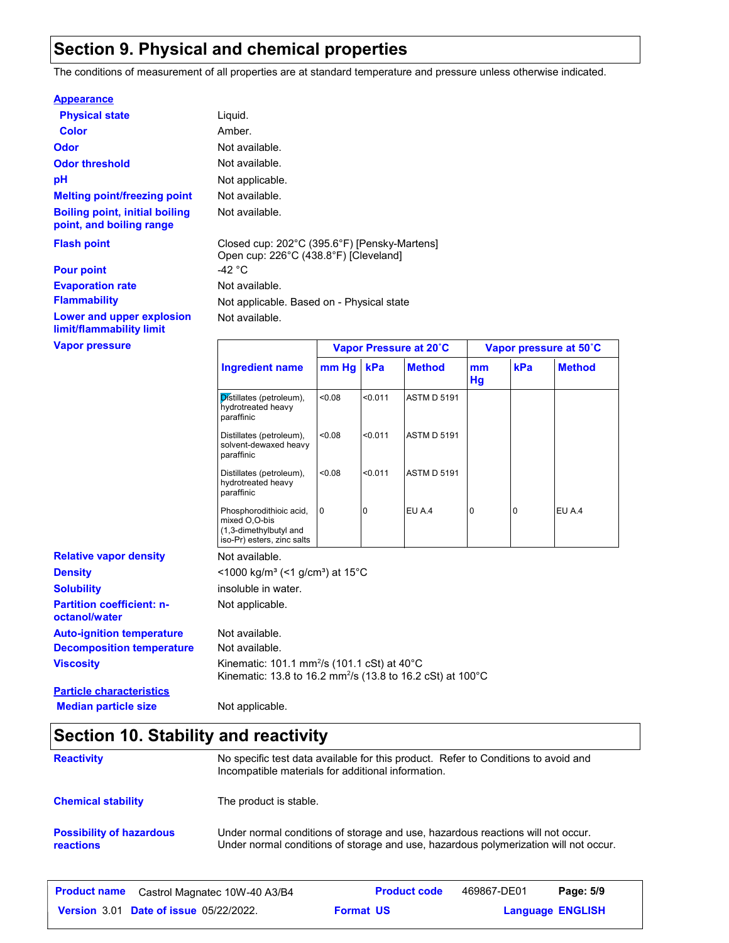## **Section 9. Physical and chemical properties**

The conditions of measurement of all properties are at standard temperature and pressure unless otherwise indicated.

#### **Appearance**

| <b>Physical state</b>                                             | Liquid.                                   |                                              |
|-------------------------------------------------------------------|-------------------------------------------|----------------------------------------------|
| <b>Color</b>                                                      | Amber.                                    |                                              |
| <b>Odor</b>                                                       | Not available.                            |                                              |
| <b>Odor threshold</b>                                             | Not available.                            |                                              |
| рH                                                                | Not applicable.                           |                                              |
| <b>Melting point/freezing point</b>                               | Not available.                            |                                              |
| <b>Boiling point, initial boiling</b><br>point, and boiling range | Not available.                            |                                              |
| <b>Flash point</b>                                                | Open cup: 226°C (438.8°F) [Cleveland]     | Closed cup: 202°C (395.6°F) [Pensky-Martens] |
| <b>Pour point</b>                                                 | -42 °C                                    |                                              |
| <b>Evaporation rate</b>                                           | Not available.                            |                                              |
| <b>Flammability</b>                                               | Not applicable. Based on - Physical state |                                              |
| Lower and upper explosion<br>limit/flammability limit             | Not available.                            |                                              |
| <b>Vapor pressure</b>                                             |                                           | <b>Vapor Pressure at 20</b>                  |

Not available. Not applicable. **Viscosity** Kinematic: 101.1 mm<sup>2</sup> /s (101.1 cSt) at 40°C Kinematic: 13.8 to 16.2 mm²/s (13.8 to 16.2 cSt) at 100°C **Partition coefficient: noctanol/water Decomposition temperature** Not available. **Density Solubility**  $<$ 1000 kg/m<sup>3</sup> (<1 g/cm<sup>3</sup>) at 15°C insoluble in water. **Ingredient name Vapor Pressure at 20˚C Vapor pressure at 50˚C mm Hg kPa Method mm Hg Method**  $\overline{\mathsf{p}}$  istillates (petroleum), <0.08 hydrotreated heavy paraffinic <0.08 <0.011 ASTM D 5191 Distillates (petroleum), <0.08 solvent-dewaxed heavy paraffinic <0.08 <0.011 ASTM D 5191 Distillates (petroleum), <0.08 hydrotreated heavy paraffinic <0.08 <0.011 ASTM D 5191 Phosphorodithioic acid, 0 mixed O,O-bis (1,3-dimethylbutyl and iso-Pr) esters, zinc salts 0 **0 EU A.4 0 0 EU A.4 Relative vapor density Auto-ignition temperature** Not available. **Particle characteristics**

### **Median particle size** Not applicable.

| Section 10. Stability and reactivity         |                                                                                                                                                                         |  |
|----------------------------------------------|-------------------------------------------------------------------------------------------------------------------------------------------------------------------------|--|
| <b>Reactivity</b>                            | No specific test data available for this product. Refer to Conditions to avoid and<br>Incompatible materials for additional information.                                |  |
| <b>Chemical stability</b>                    | The product is stable.                                                                                                                                                  |  |
| <b>Possibility of hazardous</b><br>reactions | Under normal conditions of storage and use, hazardous reactions will not occur.<br>Under normal conditions of storage and use, hazardous polymerization will not occur. |  |

| <b>Product name</b> Castrol Magnatec 10W-40 A3/B4 | <b>Product code</b> | 469867-DE01 | Page: 5/9               |
|---------------------------------------------------|---------------------|-------------|-------------------------|
| <b>Version 3.01 Date of issue 05/22/2022.</b>     | <b>Format US</b>    |             | <b>Language ENGLISH</b> |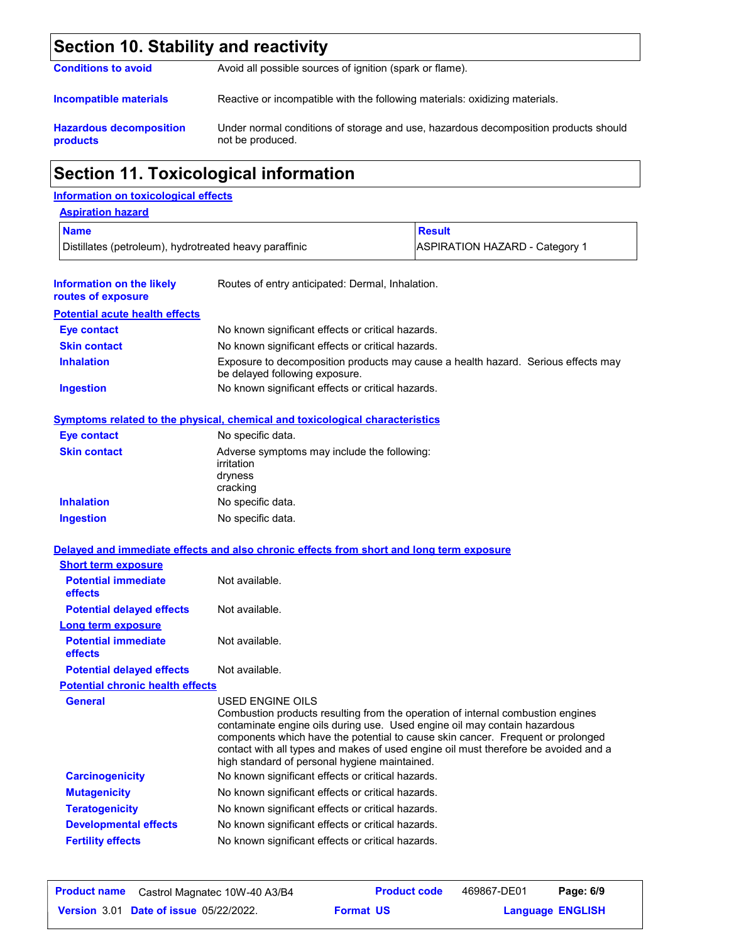## **Section 10. Stability and reactivity**

| <b>Conditions to avoid</b> | Avoid all possible sources of ignition (spark or flame). |  |
|----------------------------|----------------------------------------------------------|--|
|                            |                                                          |  |
|                            |                                                          |  |

**Incompatible materials** Reactive or incompatible with the following materials: oxidizing materials.

**Hazardous decomposition products** Under normal conditions of storage and use, hazardous decomposition products should not be produced.

## **Section 11. Toxicological information**

### **Information on toxicological effects**

| <b>Aspiration hazard</b>                               |                                                   |                                                                                   |
|--------------------------------------------------------|---------------------------------------------------|-----------------------------------------------------------------------------------|
| <b>Name</b>                                            |                                                   | <b>Result</b>                                                                     |
| Distillates (petroleum), hydrotreated heavy paraffinic |                                                   | <b>ASPIRATION HAZARD - Category 1</b>                                             |
| Information on the likely<br>routes of exposure        | Routes of entry anticipated: Dermal, Inhalation.  |                                                                                   |
| <b>Potential acute health effects</b>                  |                                                   |                                                                                   |
| Eye contact                                            | No known significant effects or critical hazards. |                                                                                   |
| <b>Skin contact</b>                                    | No known significant effects or critical hazards. |                                                                                   |
| <b>Inhalation</b>                                      | be delayed following exposure.                    | Exposure to decomposition products may cause a health hazard. Serious effects may |
| <b>Ingestion</b>                                       | No known significant effects or critical hazards. |                                                                                   |

### **Symptoms related to the physical, chemical and toxicological characteristics**

| <b>Eye contact</b>  | No specific data.                                                                |
|---------------------|----------------------------------------------------------------------------------|
| <b>Skin contact</b> | Adverse symptoms may include the following:<br>irritation<br>dryness<br>cracking |
| <b>Inhalation</b>   | No specific data.                                                                |
| <b>Ingestion</b>    | No specific data.                                                                |

|                                         | Delayed and immediate effects and also chronic effects from short and long term exposure                                                                                                                                                                                                                                                                                                                    |
|-----------------------------------------|-------------------------------------------------------------------------------------------------------------------------------------------------------------------------------------------------------------------------------------------------------------------------------------------------------------------------------------------------------------------------------------------------------------|
| <b>Short term exposure</b>              |                                                                                                                                                                                                                                                                                                                                                                                                             |
| <b>Potential immediate</b><br>effects   | Not available.                                                                                                                                                                                                                                                                                                                                                                                              |
| <b>Potential delayed effects</b>        | Not available.                                                                                                                                                                                                                                                                                                                                                                                              |
| <b>Long term exposure</b>               |                                                                                                                                                                                                                                                                                                                                                                                                             |
| <b>Potential immediate</b><br>effects   | Not available.                                                                                                                                                                                                                                                                                                                                                                                              |
| <b>Potential delayed effects</b>        | Not available.                                                                                                                                                                                                                                                                                                                                                                                              |
| <b>Potential chronic health effects</b> |                                                                                                                                                                                                                                                                                                                                                                                                             |
| <b>General</b>                          | USED ENGINE OILS<br>Combustion products resulting from the operation of internal combustion engines<br>contaminate engine oils during use. Used engine oil may contain hazardous<br>components which have the potential to cause skin cancer. Frequent or prolonged<br>contact with all types and makes of used engine oil must therefore be avoided and a<br>high standard of personal hygiene maintained. |
| <b>Carcinogenicity</b>                  | No known significant effects or critical hazards.                                                                                                                                                                                                                                                                                                                                                           |
| <b>Mutagenicity</b>                     | No known significant effects or critical hazards.                                                                                                                                                                                                                                                                                                                                                           |
| <b>Teratogenicity</b>                   | No known significant effects or critical hazards.                                                                                                                                                                                                                                                                                                                                                           |
| <b>Developmental effects</b>            | No known significant effects or critical hazards.                                                                                                                                                                                                                                                                                                                                                           |
| <b>Fertility effects</b>                | No known significant effects or critical hazards.                                                                                                                                                                                                                                                                                                                                                           |
|                                         |                                                                                                                                                                                                                                                                                                                                                                                                             |

| <b>Product name</b> Castrol Magnatec 10W-40 A3/B4 |                  | <b>Product code</b> | 469867-DE01             | Page: 6/9 |  |
|---------------------------------------------------|------------------|---------------------|-------------------------|-----------|--|
| <b>Version 3.01 Date of issue 05/22/2022.</b>     | <b>Format US</b> |                     | <b>Language ENGLISH</b> |           |  |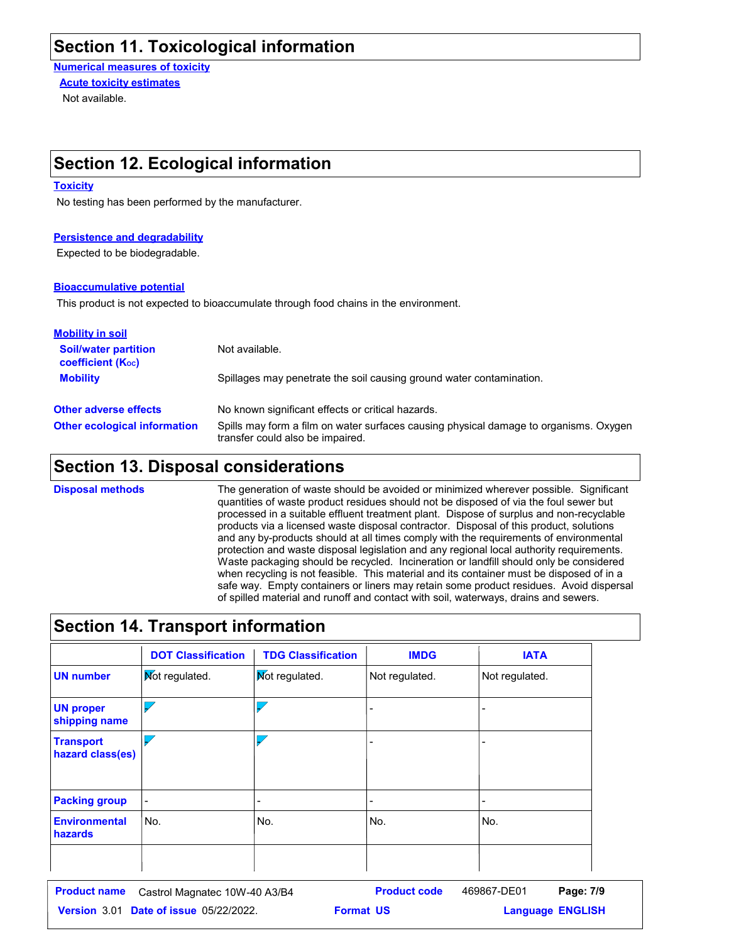## **Section 11. Toxicological information**

**Numerical measures of toxicity**

Not available. **Acute toxicity estimates**

## **Section 12. Ecological information**

#### **Toxicity**

No testing has been performed by the manufacturer.

#### **Persistence and degradability**

Expected to be biodegradable.

#### **Bioaccumulative potential**

This product is not expected to bioaccumulate through food chains in the environment.

| <b>Mobility in soil</b>                                 |                                                                                                                           |
|---------------------------------------------------------|---------------------------------------------------------------------------------------------------------------------------|
| <b>Soil/water partition</b><br><b>coefficient (Koc)</b> | Not available.                                                                                                            |
| <b>Mobility</b>                                         | Spillages may penetrate the soil causing ground water contamination.                                                      |
| <b>Other adverse effects</b>                            | No known significant effects or critical hazards.                                                                         |
| <b>Other ecological information</b>                     | Spills may form a film on water surfaces causing physical damage to organisms. Oxygen<br>transfer could also be impaired. |

## **Section 13. Disposal considerations**

The generation of waste should be avoided or minimized wherever possible. Significant quantities of waste product residues should not be disposed of via the foul sewer but processed in a suitable effluent treatment plant. Dispose of surplus and non-recyclable products via a licensed waste disposal contractor. Disposal of this product, solutions and any by-products should at all times comply with the requirements of environmental protection and waste disposal legislation and any regional local authority requirements. Waste packaging should be recycled. Incineration or landfill should only be considered when recycling is not feasible. This material and its container must be disposed of in a safe way. Empty containers or liners may retain some product residues. Avoid dispersal of spilled material and runoff and contact with soil, waterways, drains and sewers. **Disposal methods**

## **Section 14. Transport information**

|                                        | <b>DOT Classification</b> | <b>TDG Classification</b> | <b>IMDG</b>    | <b>IATA</b>              |
|----------------------------------------|---------------------------|---------------------------|----------------|--------------------------|
| <b>UN number</b>                       | <b>Not regulated.</b>     | Mot regulated.            | Not regulated. | Not regulated.           |
| <b>UN proper</b><br>shipping name      |                           |                           |                | ۰                        |
| <b>Transport</b><br>hazard class(es)   |                           |                           |                | $\overline{\phantom{0}}$ |
| <b>Packing group</b>                   | $\overline{a}$            |                           |                | -                        |
| <b>Environmental</b><br><b>hazards</b> | No.                       | No.                       | No.            | No.                      |
|                                        |                           |                           |                |                          |

| <b>Product name</b> Castrol Magnatec 10W-40 A3/B4 |                  | <b>Product code</b> | 469867-DE01             | Page: 7/9 |  |
|---------------------------------------------------|------------------|---------------------|-------------------------|-----------|--|
| <b>Version 3.01 Date of issue 05/22/2022.</b>     | <b>Format US</b> |                     | <b>Language ENGLISH</b> |           |  |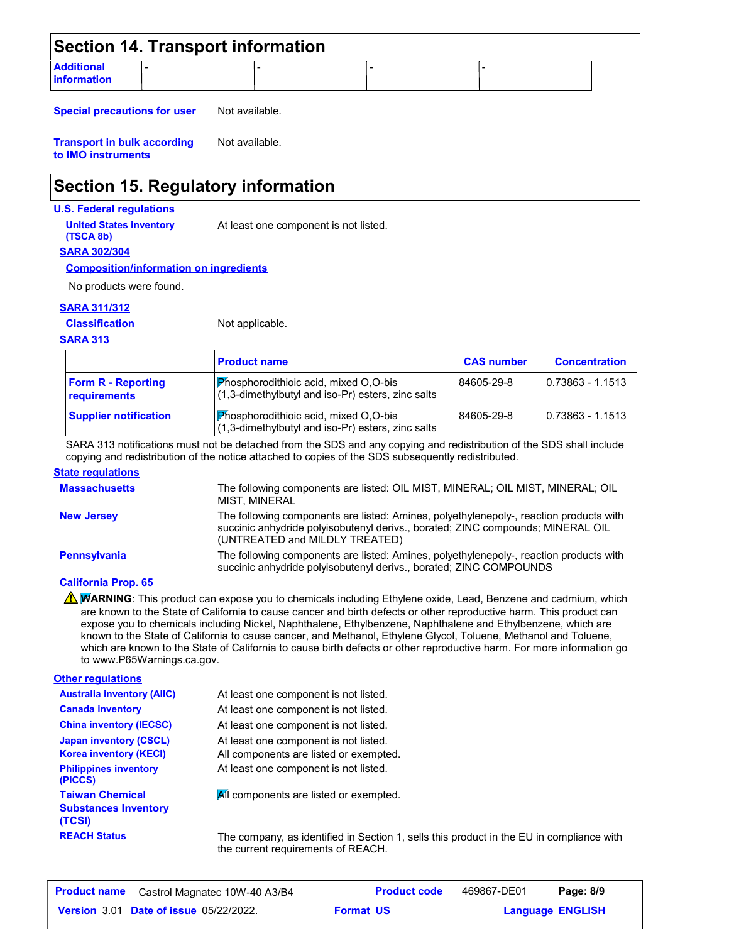| Section 14. Transport information        |  |  |  |  |  |
|------------------------------------------|--|--|--|--|--|
| <b>Additional</b><br><b>linformation</b> |  |  |  |  |  |

**Special precautions for user** Not available.

**Transport in bulk according to IMO instruments** Not available.

## **Section 15. Regulatory information**

#### **U.S. Federal regulations**

**United States inventory** At least one component is not listed.

**SARA 302/304 (TSCA 8b)**

**Composition/information on ingredients**

No products were found.

#### **SARA 311/312**

**Classification**

Not applicable.

#### **SARA 313**

|                                           | <b>Product name</b>                                                                                    | <b>CAS number</b> | <b>Concentration</b> |
|-------------------------------------------|--------------------------------------------------------------------------------------------------------|-------------------|----------------------|
| <b>Form R - Reporting</b><br>requirements | $\mathsf{P}$ hosphorodithioic acid, mixed O,O-bis<br>(1,3-dimethylbutyl and iso-Pr) esters, zinc salts | 84605-29-8        | 0.73863 - 1.1513     |
| <b>Supplier notification</b>              | Phosphorodithioic acid, mixed O,O-bis<br>(1,3-dimethylbutyl and iso-Pr) esters, zinc salts             | 84605-29-8        | 0.73863 - 1.1513     |

SARA 313 notifications must not be detached from the SDS and any copying and redistribution of the SDS shall include copying and redistribution of the notice attached to copies of the SDS subsequently redistributed.

#### **State regulations**

| <b>Massachusetts</b> | The following components are listed: OIL MIST, MINERAL; OIL MIST, MINERAL; OIL<br>MIST. MINERAL                                                                                                             |
|----------------------|-------------------------------------------------------------------------------------------------------------------------------------------------------------------------------------------------------------|
| <b>New Jersey</b>    | The following components are listed: Amines, polyethylenepoly-, reaction products with<br>succinic anhydride polyisobutenyl derivs., borated; ZINC compounds; MINERAL OIL<br>(UNTREATED and MILDLY TREATED) |
| <b>Pennsylvania</b>  | The following components are listed: Amines, polyethylenepoly-, reaction products with<br>succinic anhydride polyisobutenyl derivs., borated; ZINC COMPOUNDS                                                |

#### **California Prop. 65**

**A WARNING**: This product can expose you to chemicals including Ethylene oxide, Lead, Benzene and cadmium, which are known to the State of California to cause cancer and birth defects or other reproductive harm. This product can expose you to chemicals including Nickel, Naphthalene, Ethylbenzene, Naphthalene and Ethylbenzene, which are known to the State of California to cause cancer, and Methanol, Ethylene Glycol, Toluene, Methanol and Toluene, which are known to the State of California to cause birth defects or other reproductive harm. For more information go to www.P65Warnings.ca.gov.

| <b>Other regulations</b>                                                                                  |                                                                                                                          |
|-----------------------------------------------------------------------------------------------------------|--------------------------------------------------------------------------------------------------------------------------|
| <b>Australia inventory (AIIC)</b>                                                                         | At least one component is not listed.                                                                                    |
| <b>Canada inventory</b>                                                                                   | At least one component is not listed.                                                                                    |
| <b>China inventory (IECSC)</b>                                                                            | At least one component is not listed.                                                                                    |
| <b>Japan inventory (CSCL)</b><br><b>Korea inventory (KECI)</b><br><b>Philippines inventory</b><br>(PICCS) | At least one component is not listed.<br>All components are listed or exempted.<br>At least one component is not listed. |
| <b>Taiwan Chemical</b><br><b>Substances Inventory</b><br>(TCSI)                                           | All components are listed or exempted.                                                                                   |
| <b>REACH Status</b>                                                                                       | The company, as identified in Section 1, sel                                                                             |

**Rells this product in the EU in compliance with** the current requirements of REACH.

| <b>Product name</b> Castrol Magnatec 10W-40 A3/B4 |                  | <b>Product code</b> | 469867-DE01             | Page: 8/9 |  |
|---------------------------------------------------|------------------|---------------------|-------------------------|-----------|--|
| <b>Version 3.01 Date of issue 05/22/2022.</b>     | <b>Format US</b> |                     | <b>Language ENGLISH</b> |           |  |